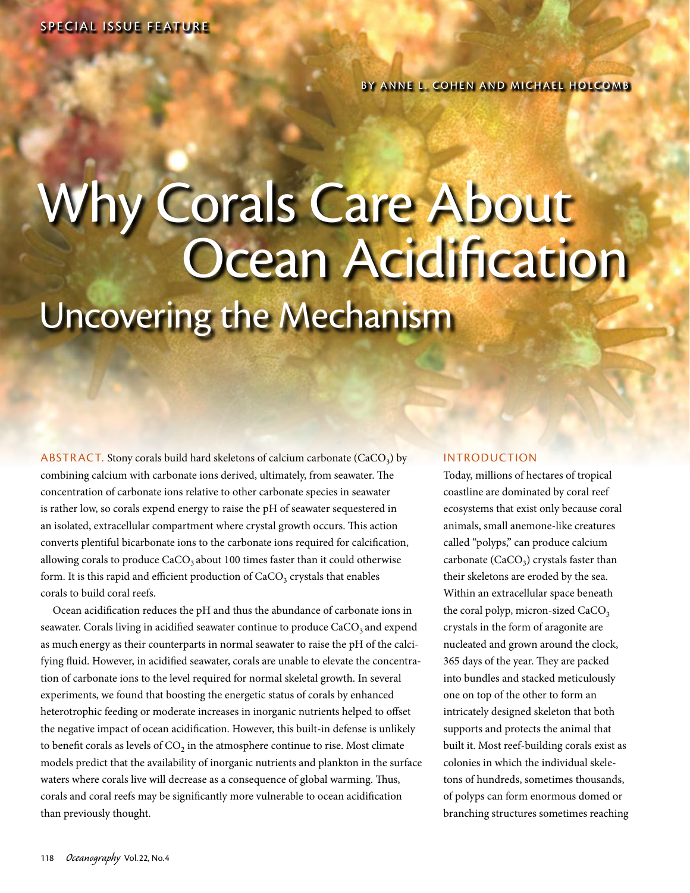# Why Corals Care About Ocean Acidification Uncovering the Mechanism

ABSTRACT. Stony corals build hard skeletons of calcium carbonate (CaCO<sub>3</sub>) by combining calcium with carbonate ions derived, ultimately, from seawater. The concentration of carbonate ions relative to other carbonate species in seawater is rather low, so corals expend energy to raise the pH of seawater sequestered in an isolated, extracellular compartment where crystal growth occurs. This action converts plentiful bicarbonate ions to the carbonate ions required for calcification, allowing corals to produce  $CaCO<sub>3</sub>$  about 100 times faster than it could otherwise form. It is this rapid and efficient production of  $CaCO<sub>3</sub>$  crystals that enables corals to build coral reefs.

Ocean acidification reduces the pH and thus the abundance of carbonate ions in seawater. Corals living in acidified seawater continue to produce CaCO<sub>3</sub> and expend as much energy as their counterparts in normal seawater to raise the pH of the calcifying fluid. However, in acidified seawater, corals are unable to elevate the concentration of carbonate ions to the level required for normal skeletal growth. In several experiments, we found that boosting the energetic status of corals by enhanced heterotrophic feeding or moderate increases in inorganic nutrients helped to offset the negative impact of ocean acidification. However, this built-in defense is unlikely to benefit corals as levels of  $CO<sub>2</sub>$  in the atmosphere continue to rise. Most climate models predict that the availability of inorganic nutrients and plankton in the surface waters where corals live will decrease as a consequence of global warming. Thus, corals and coral reefs may be significantly more vulnerable to ocean acidification than previously thought.

#### **INTRODUCTION**

Today, millions of hectares of tropical coastline are dominated by coral reef ecosystems that exist only because coral animals, small anemone-like creatures called "polyps," can produce calcium carbonate (CaCO<sub>3</sub>) crystals faster than their skeletons are eroded by the sea. Within an extracellular space beneath the coral polyp, micron-sized  $CaCO<sub>3</sub>$ crystals in the form of aragonite are nucleated and grown around the clock, 365 days of the year. They are packed into bundles and stacked meticulously one on top of the other to form an intricately designed skeleton that both supports and protects the animal that built it. Most reef-building corals exist as colonies in which the individual skeletons of hundreds, sometimes thousands, of polyps can form enormous domed or branching structures sometimes reaching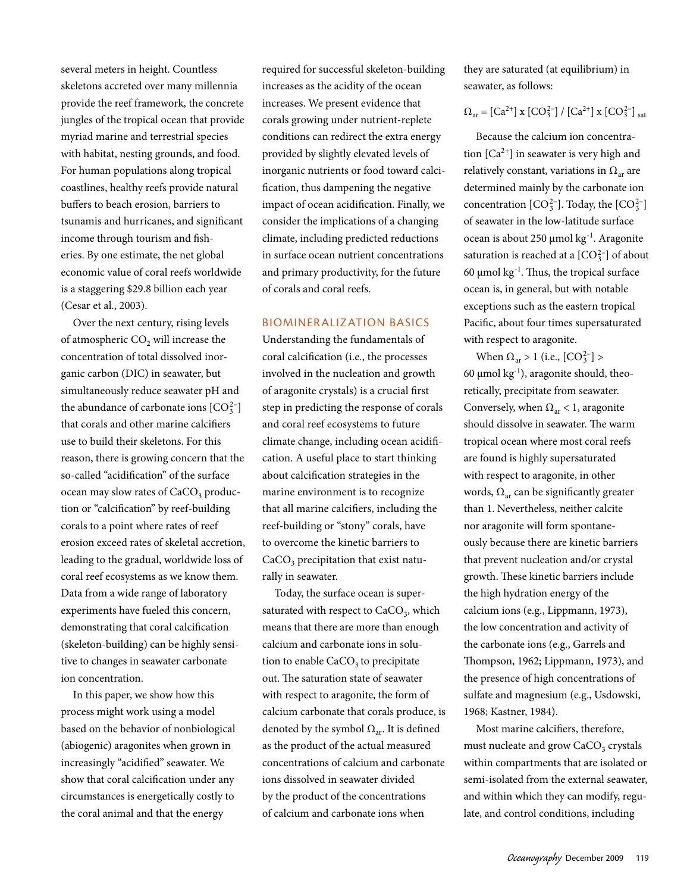several meters in height. Countless skeletons accreted over many millennia provide the reef framework, the concrete jungles of the tropical ocean that provide myriad marine and terrestrial species with habitat, nesting grounds, and food. For human populations along tropical coastlines, healthy reefs provide natural buffers to beach erosion, barriers to tsunamis and hurricanes, and significant income through tourism and fisheries. By one estimate, the net global economic value of coral reefs worldwide is a staggering \$29.8 billion each year (Cesar et al., 2003).

Over the next century, rising levels of atmospheric  $CO<sub>2</sub>$  will increase the concentration of total dissolved inorganic carbon (DIC) in seawater, but simultaneously reduce seawater pH and the abundance of carbonate ions  $[CO_3^{2-}]$ that corals and other marine calcifiers use to build their skeletons. For this reason, there is growing concern that the so-called "acidification" of the surface ocean may slow rates of  $CaCO<sub>3</sub>$  production or "calcification" by reef-building corals to a point where rates of reef erosion exceed rates of skeletal accretion, leading to the gradual, worldwide loss of coral reef ecosystems as we know them. Data from a wide range of laboratory experiments have fueled this concern, demonstrating that coral calcification (skeleton-building) can be highly sensitive to changes in seawater carbonate ion concentration.

In this paper, we show how this process might work using a model based on the behavior of nonbiological (abiogenic) aragonites when grown in increasingly "acidified" seawater. We show that coral calcification under any circumstances is energetically costly to the coral animal and that the energy

required for successful skeleton-building increases as the acidity of the ocean increases. We present evidence that corals growing under nutrient-replete conditions can redirect the extra energy provided by slightly elevated levels of inorganic nutrients or food toward calcification, thus dampening the negative impact of ocean acidification. Finally, we consider the implications of a changing climate, including predicted reductions in surface ocean nutrient concentrations and primary productivity, for the future of corals and coral reefs.

#### Biominer alization Basics

Understanding the fundamentals of coral calcification (i.e., the processes involved in the nucleation and growth of aragonite crystals) is a crucial first step in predicting the response of corals and coral reef ecosystems to future climate change, including ocean acidification. A useful place to start thinking about calcification strategies in the marine environment is to recognize that all marine calcifiers, including the reef-building or "stony" corals, have to overcome the kinetic barriers to CaCO<sub>3</sub> precipitation that exist naturally in seawater.

Today, the surface ocean is supersaturated with respect to  $CaCO<sub>3</sub>$ , which means that there are more than enough calcium and carbonate ions in solution to enable CaCO<sub>3</sub> to precipitate out. The saturation state of seawater with respect to aragonite, the form of calcium carbonate that corals produce, is denoted by the symbol  $\Omega_{\text{ar}}$ . It is defined as the product of the actual measured concentrations of calcium and carbonate ions dissolved in seawater divided by the product of the concentrations of calcium and carbonate ions when

they are saturated (at equilibrium) in seawater, as follows:

## $\Omega_{\text{ar}} = [Ca^{2+}] \times [CO_3^{2-}] / [Ca^{2+}] \times [CO_3^{2-}]$  sat.

Because the calcium ion concentration  $[Ca^{2+}]$  in seawater is very high and relatively constant, variations in  $\Omega_{ar}$  are determined mainly by the carbonate ion concentration  $[CO_3^{2-}]$ . Today, the  $[CO_3^{2-}]$ of seawater in the low-latitude surface ocean is about 250 µmol kg-1. Aragonite saturation is reached at a  $[CO_3^{2-}]$  of about 60  $\mu$ mol kg<sup>-1</sup>. Thus, the tropical surface ocean is, in general, but with notable exceptions such as the eastern tropical Pacific, about four times supersaturated with respect to aragonite.

When  $Ω_{\text{ar}} > 1$  (i.e.,  $[CO_3^{2-}] >$ 60  $\mu$ mol kg<sup>-1</sup>), aragonite should, theoretically, precipitate from seawater. Conversely, when  $\Omega_{ar}$  < 1, aragonite should dissolve in seawater. The warm tropical ocean where most coral reefs are found is highly supersaturated with respect to aragonite, in other words,  $\Omega_{ar}$  can be significantly greater than 1. Nevertheless, neither calcite nor aragonite will form spontaneously because there are kinetic barriers that prevent nucleation and/or crystal growth. These kinetic barriers include the high hydration energy of the calcium ions (e.g., Lippmann, 1973), the low concentration and activity of the carbonate ions (e.g., Garrels and Thompson, 1962; Lippmann, 1973), and the presence of high concentrations of sulfate and magnesium (e.g., Usdowski, 1968; Kastner, 1984).

Most marine calcifiers, therefore, must nucleate and grow  $CaCO<sub>3</sub>$  crystals within compartments that are isolated or semi-isolated from the external seawater, and within which they can modify, regulate, and control conditions, including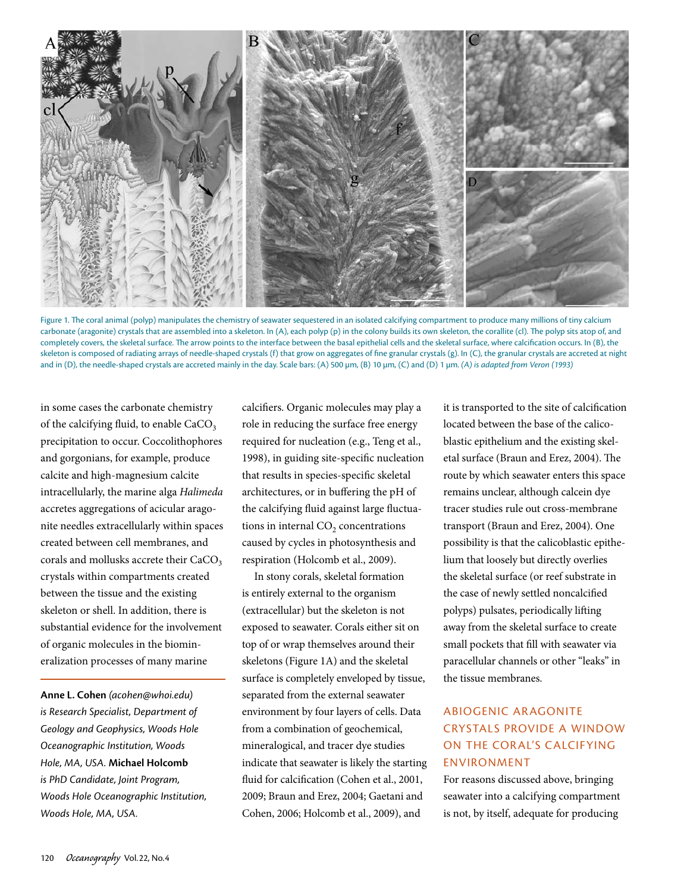

Figure 1. The coral animal (polyp) manipulates the chemistry of seawater sequestered in an isolated calcifying compartment to produce many millions of tiny calcium carbonate (aragonite) crystals that are assembled into a skeleton. In (A), each polyp (p) in the colony builds its own skeleton, the corallite (cl). The polyp sits atop of, and completely covers, the skeletal surface. The arrow points to the interface between the basal epithelial cells and the skeletal surface, where calcification occurs. In (B), the skeleton is composed of radiating arrays of needle-shaped crystals (f) that grow on aggregates of fine granular crystals (g). In (C), the granular crystals are accreted at night and in (D), the needle-shaped crystals are accreted mainly in the day. Scale bars: (A) 500 µm, (B) 10 µm, (C) and (D) 1 µm. (A) is adapted from Veron (1993)

in some cases the carbonate chemistry of the calcifying fluid, to enable  $CaCO<sub>3</sub>$ . precipitation to occur. Coccolithophores and gorgonians, for example, produce calcite and high-magnesium calcite intracellularly, the marine alga *Halimeda* accretes aggregations of acicular aragonite needles extracellularly within spaces created between cell membranes, and corals and mollusks accrete their CaCO<sub>3</sub> crystals within compartments created between the tissue and the existing skeleton or shell. In addition, there is substantial evidence for the involvement of organic molecules in the biomineralization processes of many marine

**Anne L. Cohen** *(acohen@whoi.edu) is Research Specialist, Department of Geology and Geophysics, Woods Hole Oceanographic Institution, Woods Hole, MA, USA.* **Michael Holcomb** *is PhD Candidate, Joint Program, Woods Hole Oceanographic Institution, Woods Hole, MA, USA.*

calcifiers. Organic molecules may play a role in reducing the surface free energy required for nucleation (e.g., Teng et al., 1998), in guiding site-specific nucleation that results in species-specific skeletal architectures, or in buffering the pH of the calcifying fluid against large fluctuations in internal  $CO<sub>2</sub>$  concentrations caused by cycles in photosynthesis and respiration (Holcomb et al., 2009).

In stony corals, skeletal formation is entirely external to the organism (extracellular) but the skeleton is not exposed to seawater. Corals either sit on top of or wrap themselves around their skeletons (Figure 1A) and the skeletal surface is completely enveloped by tissue, separated from the external seawater environment by four layers of cells. Data from a combination of geochemical, mineralogical, and tracer dye studies indicate that seawater is likely the starting fluid for calcification (Cohen et al., 2001, 2009; Braun and Erez, 2004; Gaetani and Cohen, 2006; Holcomb et al., 2009), and

it is transported to the site of calcification located between the base of the calicoblastic epithelium and the existing skeletal surface (Braun and Erez, 2004). The route by which seawater enters this space remains unclear, although calcein dye tracer studies rule out cross-membrane transport (Braun and Erez, 2004). One possibility is that the calicoblastic epithelium that loosely but directly overlies the skeletal surface (or reef substrate in the case of newly settled noncalcified polyps) pulsates, periodically lifting away from the skeletal surface to create small pockets that fill with seawater via paracellular channels or other "leaks" in the tissue membranes.

# Abiogenic Aragonite Crystals Provide a Window ON THE CORAL'S CALCIFYING Environment

For reasons discussed above, bringing seawater into a calcifying compartment is not, by itself, adequate for producing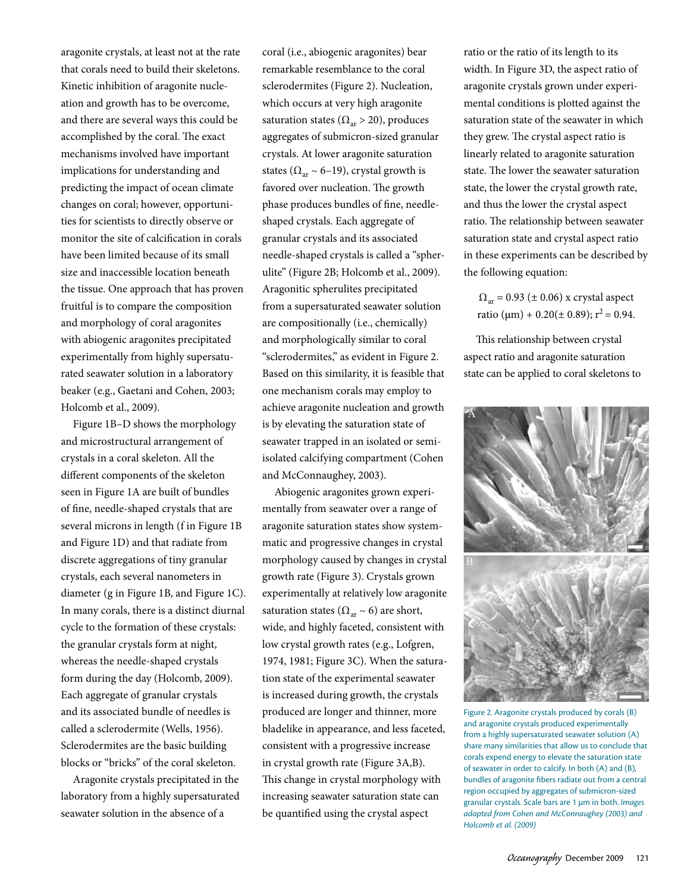aragonite crystals, at least not at the rate that corals need to build their skeletons. Kinetic inhibition of aragonite nucleation and growth has to be overcome, and there are several ways this could be accomplished by the coral. The exact mechanisms involved have important implications for understanding and predicting the impact of ocean climate changes on coral; however, opportunities for scientists to directly observe or monitor the site of calcification in corals have been limited because of its small size and inaccessible location beneath the tissue. One approach that has proven fruitful is to compare the composition and morphology of coral aragonites with abiogenic aragonites precipitated experimentally from highly supersaturated seawater solution in a laboratory beaker (e.g., Gaetani and Cohen, 2003; Holcomb et al., 2009).

Figure 1B–D shows the morphology and microstructural arrangement of crystals in a coral skeleton. All the different components of the skeleton seen in Figure 1A are built of bundles of fine, needle-shaped crystals that are several microns in length (f in Figure 1B and Figure 1D) and that radiate from discrete aggregations of tiny granular crystals, each several nanometers in diameter (g in Figure 1B, and Figure 1C). In many corals, there is a distinct diurnal cycle to the formation of these crystals: the granular crystals form at night, whereas the needle-shaped crystals form during the day (Holcomb, 2009). Each aggregate of granular crystals and its associated bundle of needles is called a sclerodermite (Wells, 1956). Sclerodermites are the basic building blocks or "bricks" of the coral skeleton.

Aragonite crystals precipitated in the laboratory from a highly supersaturated seawater solution in the absence of a

coral (i.e., abiogenic aragonites) bear remarkable resemblance to the coral sclerodermites (Figure 2). Nucleation, which occurs at very high aragonite saturation states ( $\Omega_{ar} > 20$ ), produces aggregates of submicron-sized granular crystals. At lower aragonite saturation states ( $\Omega_{ar}$  ~ 6–19), crystal growth is favored over nucleation. The growth phase produces bundles of fine, needleshaped crystals. Each aggregate of granular crystals and its associated needle-shaped crystals is called a "spherulite" (Figure 2B; Holcomb et al., 2009). Aragonitic spherulites precipitated from a supersaturated seawater solution are compositionally (i.e., chemically) and morphologically similar to coral "sclerodermites," as evident in Figure 2. Based on this similarity, it is feasible that one mechanism corals may employ to achieve aragonite nucleation and growth is by elevating the saturation state of seawater trapped in an isolated or semiisolated calcifying compartment (Cohen and McConnaughey, 2003).

Abiogenic aragonites grown experimentally from seawater over a range of aragonite saturation states show systemmatic and progressive changes in crystal morphology caused by changes in crystal growth rate (Figure 3). Crystals grown experimentally at relatively low aragonite saturation states ( $\Omega_{ar} \sim 6$ ) are short, wide, and highly faceted, consistent with low crystal growth rates (e.g., Lofgren, 1974, 1981; Figure 3C). When the saturation state of the experimental seawater is increased during growth, the crystals produced are longer and thinner, more bladelike in appearance, and less faceted, consistent with a progressive increase in crystal growth rate (Figure 3A,B). This change in crystal morphology with increasing seawater saturation state can be quantified using the crystal aspect

ratio or the ratio of its length to its width. In Figure 3D, the aspect ratio of aragonite crystals grown under experimental conditions is plotted against the saturation state of the seawater in which they grew. The crystal aspect ratio is linearly related to aragonite saturation state. The lower the seawater saturation state, the lower the crystal growth rate, and thus the lower the crystal aspect ratio. The relationship between seawater saturation state and crystal aspect ratio in these experiments can be described by the following equation:

 $\Omega_{\text{ar}}$  = 0.93 ( $\pm$  0.06) x crystal aspect ratio ( $\mu$ m) + 0.20( $\pm$  0.89); r<sup>2</sup> = 0.94.

This relationship between crystal aspect ratio and aragonite saturation state can be applied to coral skeletons to



Figure 2. Aragonite crystals produced by corals (B) and aragonite crystals produced experimentally from a highly supersaturated seawater solution (A) share many similarities that allow us to conclude that corals expend energy to elevate the saturation state of seawater in order to calcify. In both (A) and (B), bundles of aragonite fibers radiate out from a central region occupied by aggregates of submicron-sized granular crystals. Scale bars are 1 µm in both. *Images adapted from Cohen and McConnaughey (2003) and Holcomb et al. (2009)*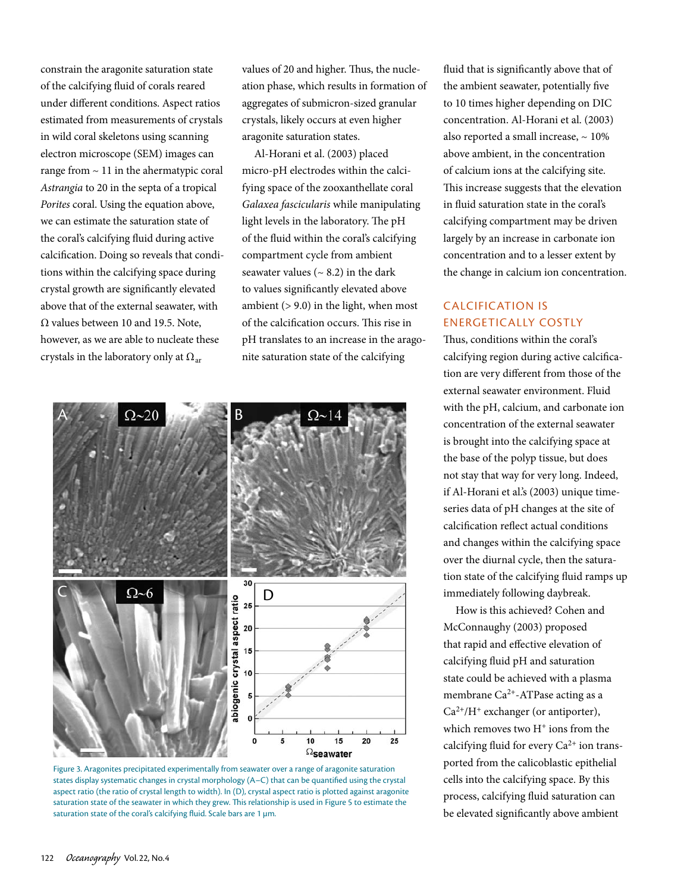constrain the aragonite saturation state of the calcifying fluid of corals reared under different conditions. Aspect ratios estimated from measurements of crystals in wild coral skeletons using scanning electron microscope (SEM) images can range from  $\sim$  11 in the ahermatypic coral *Astrangia* to 20 in the septa of a tropical *Porites* coral. Using the equation above, we can estimate the saturation state of the coral's calcifying fluid during active calcification. Doing so reveals that conditions within the calcifying space during crystal growth are significantly elevated above that of the external seawater, with  $Ω$  values between 10 and 19.5. Note, however, as we are able to nucleate these crystals in the laboratory only at  $\Omega_{ar}$ 

values of 20 and higher. Thus, the nucleation phase, which results in formation of aggregates of submicron-sized granular crystals, likely occurs at even higher aragonite saturation states.

Al-Horani et al. (2003) placed micro-pH electrodes within the calcifying space of the zooxanthellate coral *Galaxea fascicularis* while manipulating light levels in the laboratory. The pH of the fluid within the coral's calcifying compartment cycle from ambient seawater values ( $\sim$  8.2) in the dark to values significantly elevated above ambient  $(> 9.0)$  in the light, when most of the calcification occurs. This rise in pH translates to an increase in the aragonite saturation state of the calcifying





fluid that is significantly above that of the ambient seawater, potentially five to 10 times higher depending on DIC concentration. Al-Horani et al. (2003) also reported a small increase,  $\sim 10\%$ above ambient, in the concentration of calcium ions at the calcifying site. This increase suggests that the elevation in fluid saturation state in the coral's calcifying compartment may be driven largely by an increase in carbonate ion concentration and to a lesser extent by the change in calcium ion concentration.

# Calcification Is Energetically Costly

Thus, conditions within the coral's calcifying region during active calcification are very different from those of the external seawater environment. Fluid with the pH, calcium, and carbonate ion concentration of the external seawater is brought into the calcifying space at the base of the polyp tissue, but does not stay that way for very long. Indeed, if Al-Horani et al.'s (2003) unique timeseries data of pH changes at the site of calcification reflect actual conditions and changes within the calcifying space over the diurnal cycle, then the saturation state of the calcifying fluid ramps up immediately following daybreak.

How is this achieved? Cohen and McConnaughy (2003) proposed that rapid and effective elevation of calcifying fluid pH and saturation state could be achieved with a plasma membrane Ca<sup>2+</sup>-ATPase acting as a  $Ca^{2+}/H^+$  exchanger (or antiporter), which removes two  $H^+$  ions from the calcifying fluid for every  $Ca^{2+}$  ion transported from the calicoblastic epithelial cells into the calcifying space. By this process, calcifying fluid saturation can be elevated significantly above ambient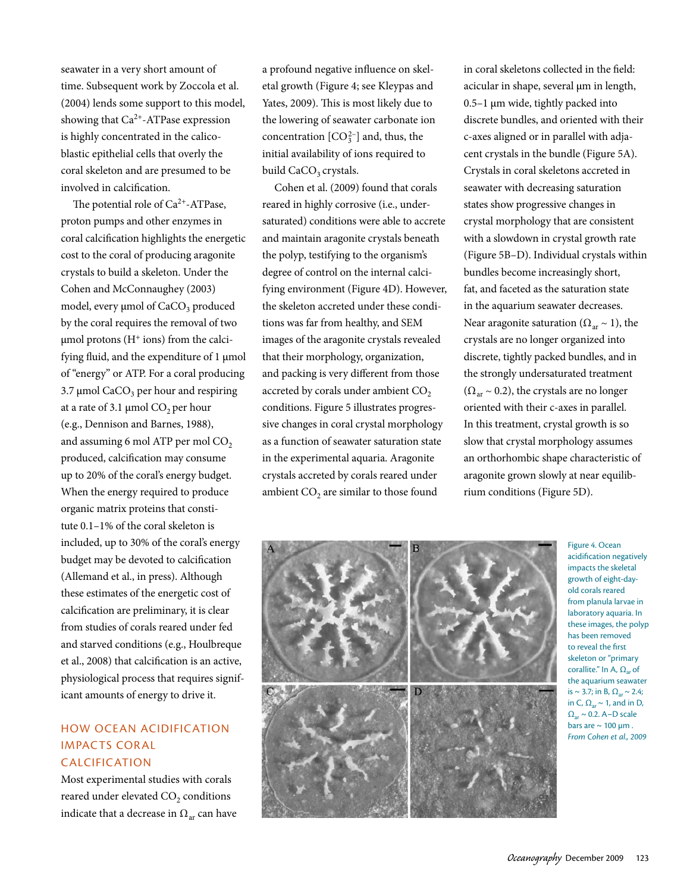seawater in a very short amount of time. Subsequent work by Zoccola et al. (2004) lends some support to this model, showing that Ca2+-ATPase expression is highly concentrated in the calicoblastic epithelial cells that overly the coral skeleton and are presumed to be involved in calcification.

The potential role of  $Ca^{2+}-ATP$ ase, proton pumps and other enzymes in coral calcification highlights the energetic cost to the coral of producing aragonite crystals to build a skeleton. Under the Cohen and McConnaughey (2003) model, every  $\mu$ mol of CaCO<sub>3</sub> produced by the coral requires the removal of two  $\mu$ mol protons (H<sup>+</sup> ions) from the calcifying fluid, and the expenditure of 1 µmol of "energy" or ATP. For a coral producing 3.7  $\mu$ mol CaCO<sub>3</sub> per hour and respiring at a rate of 3.1  $\mu$ mol CO<sub>2</sub> per hour (e.g., Dennison and Barnes, 1988), and assuming 6 mol ATP per mol  $CO<sub>2</sub>$ produced, calcification may consume up to 20% of the coral's energy budget. When the energy required to produce organic matrix proteins that constitute 0.1–1% of the coral skeleton is included, up to 30% of the coral's energy budget may be devoted to calcification (Allemand et al., in press). Although these estimates of the energetic cost of calcification are preliminary, it is clear from studies of corals reared under fed and starved conditions (e.g., Houlbreque et al., 2008) that calcification is an active, physiological process that requires significant amounts of energy to drive it.

## How Ocean Acidification **IMPACTS CORAL CALCIFICATION**

Most experimental studies with corals reared under elevated CO<sub>2</sub> conditions indicate that a decrease in  $\Omega_{ar}$  can have a profound negative influence on skeletal growth (Figure 4; see Kleypas and Yates, 2009). This is most likely due to the lowering of seawater carbonate ion concentration  $[CO_3^{2-}]$  and, thus, the initial availability of ions required to build CaCO<sub>3</sub> crystals.

Cohen et al. (2009) found that corals reared in highly corrosive (i.e., undersaturated) conditions were able to accrete and maintain aragonite crystals beneath the polyp, testifying to the organism's degree of control on the internal calcifying environment (Figure 4D). However, the skeleton accreted under these conditions was far from healthy, and SEM images of the aragonite crystals revealed that their morphology, organization, and packing is very different from those accreted by corals under ambient CO<sub>2</sub> conditions. Figure 5 illustrates progressive changes in coral crystal morphology as a function of seawater saturation state in the experimental aquaria. Aragonite crystals accreted by corals reared under ambient  $CO<sub>2</sub>$  are similar to those found

in coral skeletons collected in the field: acicular in shape, several µm in length, 0.5–1 µm wide, tightly packed into discrete bundles, and oriented with their c-axes aligned or in parallel with adjacent crystals in the bundle (Figure 5A). Crystals in coral skeletons accreted in seawater with decreasing saturation states show progressive changes in crystal morphology that are consistent with a slowdown in crystal growth rate (Figure 5B–D). Individual crystals within bundles become increasingly short, fat, and faceted as the saturation state in the aquarium seawater decreases. Near aragonite saturation ( $\Omega_{ar} \sim 1$ ), the crystals are no longer organized into discrete, tightly packed bundles, and in the strongly undersaturated treatment  $(\Omega_{ar} \sim 0.2)$ , the crystals are no longer oriented with their c-axes in parallel. In this treatment, crystal growth is so slow that crystal morphology assumes an orthorhombic shape characteristic of aragonite grown slowly at near equilibrium conditions (Figure 5D).



Figure 4. Ocean acidification negatively impacts the skeletal growth of eight-dayold corals reared from planula larvae in laboratory aquaria. In these images, the polyp has been removed to reveal the first skeleton or "primary corallite." In A,  $\Omega_{ar}$  of the aquarium seawater is ~ 3.7; in B,  $\Omega_{ar}$  ~ 2.4; in C,  $\Omega_{ar} \sim 1$ , and in D,  $\Omega_{\text{ar}} \sim 0.2$ . A–D scale bars are  $\sim 100 \mu m$ . *From Cohen et al., 2009*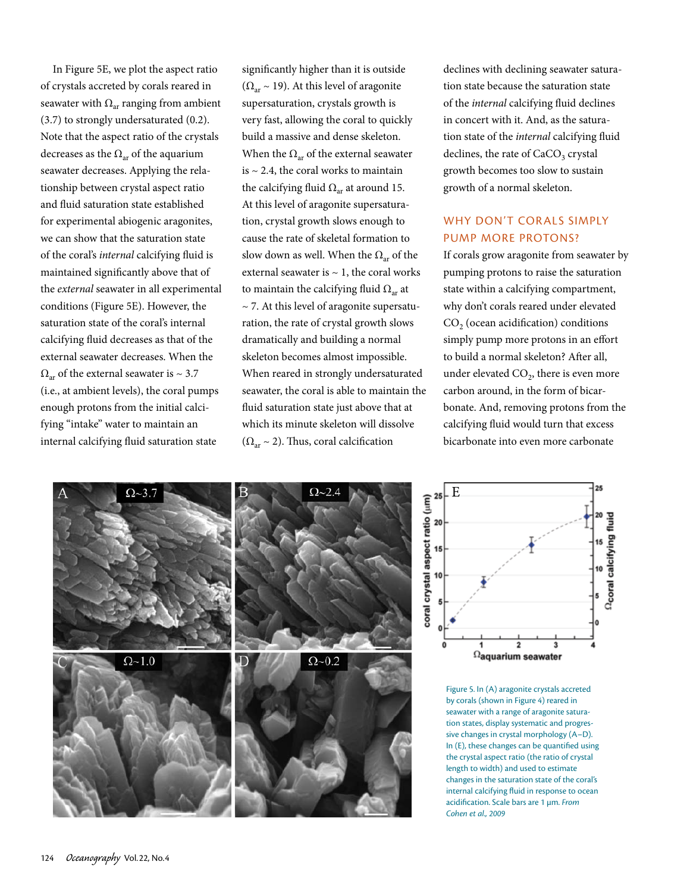In Figure 5E, we plot the aspect ratio of crystals accreted by corals reared in seawater with  $\Omega_{ar}$  ranging from ambient (3.7) to strongly undersaturated (0.2). Note that the aspect ratio of the crystals decreases as the  $\Omega_{ar}$  of the aquarium seawater decreases. Applying the relationship between crystal aspect ratio and fluid saturation state established for experimental abiogenic aragonites, we can show that the saturation state of the coral's *internal* calcifying fluid is maintained significantly above that of the *external* seawater in all experimental conditions (Figure 5E). However, the saturation state of the coral's internal calcifying fluid decreases as that of the external seawater decreases. When the  $\Omega_{\alpha r}$  of the external seawater is ~ 3.7 (i.e., at ambient levels), the coral pumps enough protons from the initial calcifying "intake" water to maintain an internal calcifying fluid saturation state

significantly higher than it is outside  $(\Omega_{ar} \sim 19)$ . At this level of aragonite supersaturation, crystals growth is very fast, allowing the coral to quickly build a massive and dense skeleton. When the  $\Omega_{ar}$  of the external seawater is  $\sim$  2.4, the coral works to maintain the calcifying fluid  $\Omega_{ar}$  at around 15. At this level of aragonite supersaturation, crystal growth slows enough to cause the rate of skeletal formation to slow down as well. When the  $\Omega_{ar}$  of the external seawater is  $\sim$  1, the coral works to maintain the calcifying fluid  $\Omega_{ar}$  at  $\sim$  7. At this level of aragonite supersaturation, the rate of crystal growth slows dramatically and building a normal skeleton becomes almost impossible. When reared in strongly undersaturated seawater, the coral is able to maintain the fluid saturation state just above that at which its minute skeleton will dissolve  $(\Omega_{\alpha r} \sim 2)$ . Thus, coral calcification

declines with declining seawater saturation state because the saturation state of the *internal* calcifying fluid declines in concert with it. And, as the saturation state of the *internal* calcifying fluid declines, the rate of  $CaCO<sub>3</sub>$  crystal growth becomes too slow to sustain growth of a normal skeleton.

### WHY DON'T CORALS SIMPLY PUMP MORE PROTONS?

If corals grow aragonite from seawater by pumping protons to raise the saturation state within a calcifying compartment, why don't corals reared under elevated  $CO<sub>2</sub>$  (ocean acidification) conditions simply pump more protons in an effort to build a normal skeleton? After all, under elevated  $CO<sub>2</sub>$ , there is even more carbon around, in the form of bicarbonate. And, removing protons from the calcifying fluid would turn that excess bicarbonate into even more carbonate





Figure 5. In (A) aragonite crystals accreted by corals (shown in Figure 4) reared in seawater with a range of aragonite saturation states, display systematic and progressive changes in crystal morphology (A–D). In (E), these changes can be quantified using the crystal aspect ratio (the ratio of crystal length to width) and used to estimate changes in the saturation state of the coral's internal calcifying fluid in response to ocean acidification. Scale bars are 1 µm. *From Cohen et al., 2009*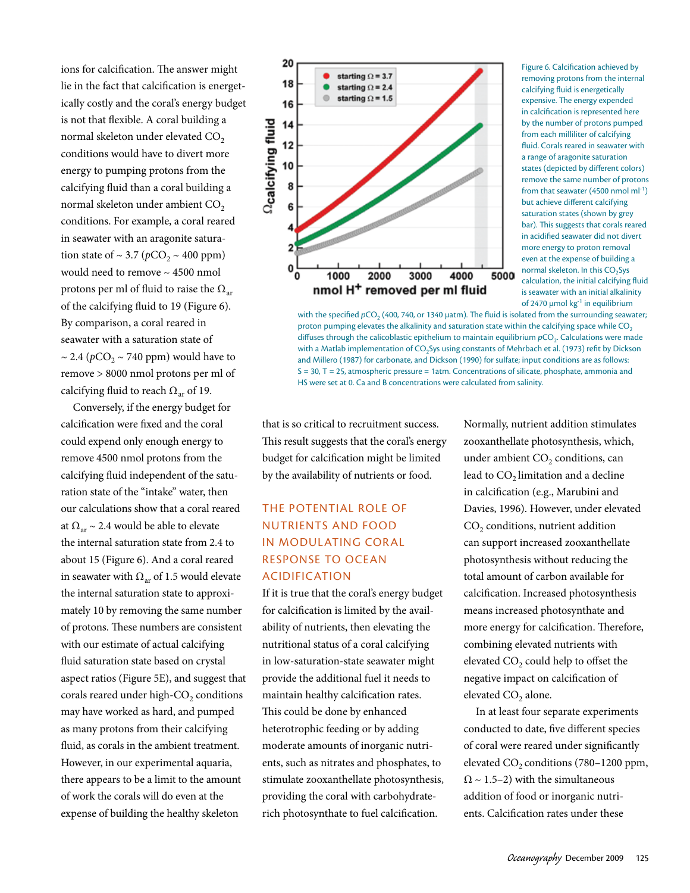ions for calcification. The answer might lie in the fact that calcification is energetically costly and the coral's energy budget is not that flexible. A coral building a normal skeleton under elevated CO<sub>2</sub> conditions would have to divert more energy to pumping protons from the calcifying fluid than a coral building a normal skeleton under ambient CO<sub>2</sub> conditions. For example, a coral reared in seawater with an aragonite saturation state of  $\sim$  3.7 ( $pCO_2 \sim 400$  ppm) would need to remove ~ 4500 nmol protons per ml of fluid to raise the  $\Omega_{ar}$ of the calcifying fluid to 19 (Figure 6). By comparison, a coral reared in seawater with a saturation state of  $\sim$  2.4 ( $pCO<sub>2</sub> \sim 740$  ppm) would have to remove > 8000 nmol protons per ml of calcifying fluid to reach  $\Omega_{ar}$  of 19.

Conversely, if the energy budget for calcification were fixed and the coral could expend only enough energy to remove 4500 nmol protons from the calcifying fluid independent of the saturation state of the "intake" water, then our calculations show that a coral reared at  $\Omega_{\text{ar}} \sim 2.4$  would be able to elevate the internal saturation state from 2.4 to about 15 (Figure 6). And a coral reared in seawater with  $\Omega_{ar}$  of 1.5 would elevate the internal saturation state to approximately 10 by removing the same number of protons. These numbers are consistent with our estimate of actual calcifying fluid saturation state based on crystal aspect ratios (Figure 5E), and suggest that corals reared under high-CO<sub>2</sub> conditions may have worked as hard, and pumped as many protons from their calcifying fluid, as corals in the ambient treatment. However, in our experimental aquaria, there appears to be a limit to the amount of work the corals will do even at the expense of building the healthy skeleton



Figure 6. Calcification achieved by removing protons from the internal calcifying fluid is energetically expensive. The energy expended in calcification is represented here by the number of protons pumped from each milliliter of calcifying fluid. Corals reared in seawater with a range of aragonite saturation states (depicted by different colors) remove the same number of protons from that seawater (4500 nmol ml<sup>-1</sup>) but achieve different calcifying saturation states (shown by grey bar). This suggests that corals reared in acidified seawater did not divert more energy to proton removal even at the expense of building a normal skeleton. In this CO<sub>2</sub>Sys calculation, the initial calcifying fluid is seawater with an initial alkalinity of 2470  $\mu$ mol kg $^{-1}$  in equilibrium

with the specified  $pCO_2$  (400, 740, or 1340 µatm). The fluid is isolated from the surrounding seawater; proton pumping elevates the alkalinity and saturation state within the calcifying space while CO<sub>2</sub> diffuses through the calicoblastic epithelium to maintain equilibrium *pCO*<sub>2</sub>. Calculations were made with a Matlab implementation of CO<sub>2</sub>Sys using constants of Mehrbach et al. (1973) refit by Dickson and Millero (1987) for carbonate, and Dickson (1990) for sulfate; input conditions are as follows: S = 30, T = 25, atmospheric pressure = 1atm. Concentrations of silicate, phosphate, ammonia and HS were set at 0. Ca and B concentrations were calculated from salinity.

that is so critical to recruitment success. This result suggests that the coral's energy budget for calcification might be limited by the availability of nutrients or food.

# The Potential Role of Nutrients and Food IN MODULATING CORAL Response to Ocean Acidification

If it is true that the coral's energy budget for calcification is limited by the availability of nutrients, then elevating the nutritional status of a coral calcifying in low-saturation-state seawater might provide the additional fuel it needs to maintain healthy calcification rates. This could be done by enhanced heterotrophic feeding or by adding moderate amounts of inorganic nutrients, such as nitrates and phosphates, to stimulate zooxanthellate photosynthesis, providing the coral with carbohydraterich photosynthate to fuel calcification.

Normally, nutrient addition stimulates zooxanthellate photosynthesis, which, under ambient  $CO<sub>2</sub>$  conditions, can lead to CO<sub>2</sub> limitation and a decline in calcification (e.g., Marubini and Davies, 1996). However, under elevated CO<sub>2</sub> conditions, nutrient addition can support increased zooxanthellate photosynthesis without reducing the total amount of carbon available for calcification. Increased photosynthesis means increased photosynthate and more energy for calcification. Therefore, combining elevated nutrients with elevated  $CO<sub>2</sub>$  could help to offset the negative impact on calcification of elevated CO<sub>2</sub> alone.

In at least four separate experiments conducted to date, five different species of coral were reared under significantly elevated  $CO<sub>2</sub>$  conditions (780–1200 ppm,  $\Omega \sim 1.5-2$ ) with the simultaneous addition of food or inorganic nutrients. Calcification rates under these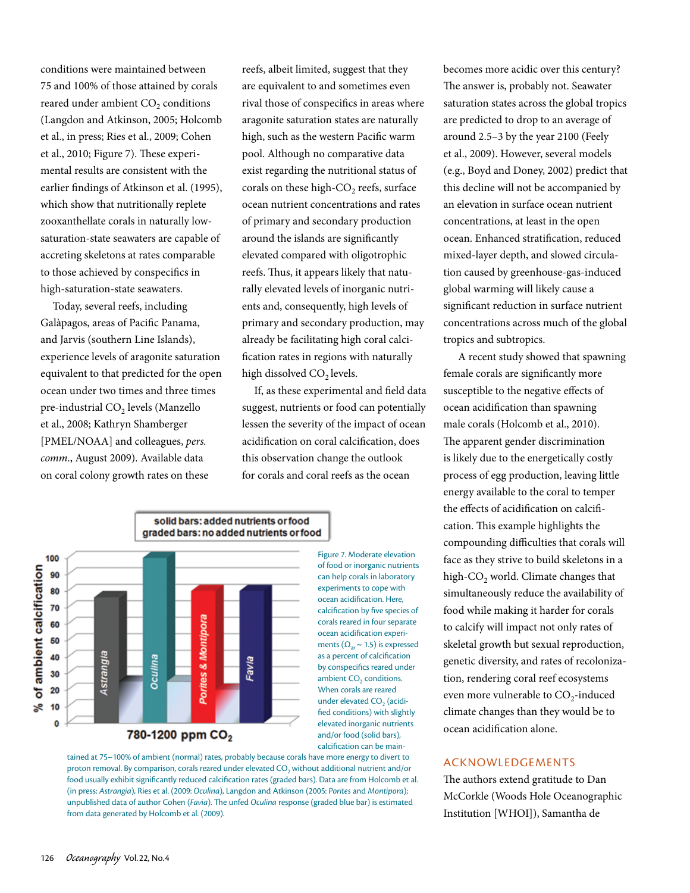conditions were maintained between 75 and 100% of those attained by corals reared under ambient CO<sub>2</sub> conditions (Langdon and Atkinson, 2005; Holcomb et al., in press; Ries et al., 2009; Cohen et al., 2010; Figure 7). These experimental results are consistent with the earlier findings of Atkinson et al. (1995), which show that nutritionally replete zooxanthellate corals in naturally lowsaturation-state seawaters are capable of accreting skeletons at rates comparable to those achieved by conspecifics in high-saturation-state seawaters.

Today, several reefs, including Galàpagos, areas of Pacific Panama, and Jarvis (southern Line Islands), experience levels of aragonite saturation equivalent to that predicted for the open ocean under two times and three times pre-industrial  $CO<sub>2</sub>$  levels (Manzello et al., 2008; Kathryn Shamberger [PMEL/NOAA] and colleagues, *pers. comm*., August 2009). Available data on coral colony growth rates on these

reefs, albeit limited, suggest that they are equivalent to and sometimes even rival those of conspecifics in areas where aragonite saturation states are naturally high, such as the western Pacific warm pool. Although no comparative data exist regarding the nutritional status of corals on these high- $CO<sub>2</sub>$  reefs, surface ocean nutrient concentrations and rates of primary and secondary production around the islands are significantly elevated compared with oligotrophic reefs. Thus, it appears likely that naturally elevated levels of inorganic nutrients and, consequently, high levels of primary and secondary production, may already be facilitating high coral calcification rates in regions with naturally high dissolved CO<sub>2</sub> levels.

If, as these experimental and field data suggest, nutrients or food can potentially lessen the severity of the impact of ocean acidification on coral calcification, does this observation change the outlook for corals and coral reefs as the ocean





becomes more acidic over this century? The answer is, probably not. Seawater saturation states across the global tropics are predicted to drop to an average of around 2.5–3 by the year 2100 (Feely et al., 2009). However, several models (e.g., Boyd and Doney, 2002) predict that this decline will not be accompanied by an elevation in surface ocean nutrient concentrations, at least in the open ocean. Enhanced stratification, reduced mixed-layer depth, and slowed circulation caused by greenhouse-gas-induced global warming will likely cause a significant reduction in surface nutrient concentrations across much of the global tropics and subtropics.

 A recent study showed that spawning female corals are significantly more susceptible to the negative effects of ocean acidification than spawning male corals (Holcomb et al., 2010). The apparent gender discrimination is likely due to the energetically costly process of egg production, leaving little energy available to the coral to temper the effects of acidification on calcification. This example highlights the compounding difficulties that corals will face as they strive to build skeletons in a high-CO<sub>2</sub> world. Climate changes that simultaneously reduce the availability of food while making it harder for corals to calcify will impact not only rates of skeletal growth but sexual reproduction, genetic diversity, and rates of recolonization, rendering coral reef ecosystems even more vulnerable to  $CO<sub>2</sub>$ -induced climate changes than they would be to ocean acidification alone.

#### Acknowledgements

The authors extend gratitude to Dan McCorkle (Woods Hole Oceanographic Institution [WHOI]), Samantha de